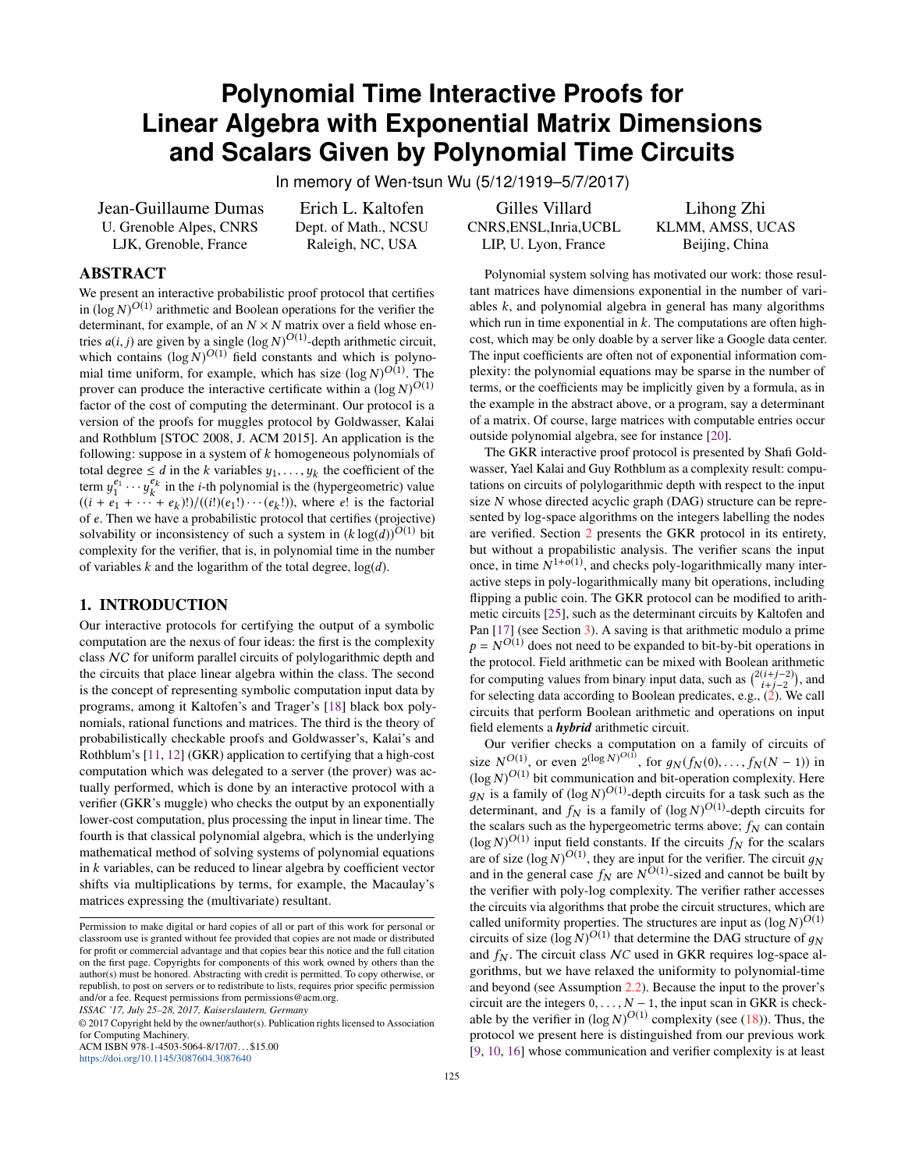# **Polynomial Time Interactive Proofs for Linear Algebra with Exponential Matrix Dimensions and Scalars Given by Polynomial Time Circuits**

In memory of Wen-tsun Wu (5/12/1919–5/7/2017)

Jean-Guillaume Dumas U. Grenoble Alpes, CNRS LJK, Grenoble, France

Erich L. Kaltofen Dept. of Math., NCSU Raleigh, NC, USA

# ABSTRACT

We present an interactive probabilistic proof protocol that certifies in  $(\log N)^{O(1)}$  arithmetic and Boolean operations for the verifier the determinant, for example, of an  $N \times N$  matrix over a field whose entries  $a(i, j)$  are given by a single  $(\log N)^{O(1)}$ -depth arithmetic circuit, which contains  $(\log N)^{O(1)}$  field constants and which is polynomial time uniform, for example, which has size  $(\log N)^{O(1)}$ . The prover can produce the interactive certificate within a  $(\log N)^{O(1)}$ factor of the cost of computing the determinant. Our protocol is a version of the proofs for muggles protocol by Goldwasser, Kalai and Rothblum [STOC 2008, J. ACM 2015]. An application is the following: suppose in a system of *k* homogeneous polynomials of total degree  $\leq d$  in the *k* variables  $y_1, \ldots, y_k$  the coefficient of the term  $y_1^{e_1} \cdots y_k^{e_k}$  in the *i*-th polynomial is the (hypergeometric) value  $((i + e_1 + \cdots + e_k)!)/((i!)(e_1!) \cdots (e_k!)),$  where *e*! is the factorial of *e*. Then we have a probabilistic protocol that certifies (projective) solvability or inconsistency of such a system in  $(k \log(d))^{O(1)}$  bit complexity for the verifier, that is, in polynomial time in the number of variables *k* and the logarithm of the total degree, log(*d*).

### 1. INTRODUCTION

Our interactive protocols for certifying the output of a symbolic computation are the nexus of four ideas: the first is the complexity class NC for uniform parallel circuits of polylogarithmic depth and the circuits that place linear algebra within the class. The second is the concept of representing symbolic computation input data by programs, among it Kaltofen's and Trager's [\[18\]](#page-7-0) black box polynomials, rational functions and matrices. The third is the theory of probabilistically checkable proofs and Goldwasser's, Kalai's and Rothblum's [\[11,](#page-7-1) [12\]](#page-7-2) (GKR) application to certifying that a high-cost computation which was delegated to a server (the prover) was actually performed, which is done by an interactive protocol with a verifier (GKR's muggle) who checks the output by an exponentially lower-cost computation, plus processing the input in linear time. The fourth is that classical polynomial algebra, which is the underlying mathematical method of solving systems of polynomial equations in *k* variables, can be reduced to linear algebra by coefficient vector shifts via multiplications by terms, for example, the Macaulay's matrices expressing the (multivariate) resultant.

*ISSAC '17, July 25–28, 2017, Kaiserslautern, Germany*

<https://doi.org/10.1145/3087604.3087640>

Gilles Villard CNRS,ENSL,Inria,UCBL LIP, U. Lyon, France

Lihong Zhi KLMM, AMSS, UCAS Beijing, China

Polynomial system solving has motivated our work: those resultant matrices have dimensions exponential in the number of variables *k*, and polynomial algebra in general has many algorithms which run in time exponential in *k*. The computations are often highcost, which may be only doable by a server like a Google data center. The input coefficients are often not of exponential information complexity: the polynomial equations may be sparse in the number of terms, or the coefficients may be implicitly given by a formula, as in the example in the abstract above, or a program, say a determinant of a matrix. Of course, large matrices with computable entries occur outside polynomial algebra, see for instance [\[20\]](#page-7-3).

The GKR interactive proof protocol is presented by Shafi Goldwasser, Yael Kalai and Guy Rothblum as a complexity result: computations on circuits of polylogarithmic depth with respect to the input size *N* whose directed acyclic graph (DAG) structure can be represented by log-space algorithms on the integers labelling the nodes are verified. Section [2](#page-1-0) presents the GKR protocol in its entirety, but without a propabilistic analysis. The verifier scans the input once, in time  $N^{1+o(1)}$ , and checks poly-logarithmically many interactive steps in poly-logarithmically many bit operations, including flipping a public coin. The GKR protocol can be modified to arithmetic circuits [\[25\]](#page-7-4), such as the determinant circuits by Kaltofen and Pan [\[17\]](#page-7-5) (see Section [3\)](#page-6-0). A saving is that arithmetic modulo a prime  $p = N^{O(1)}$  does not need to be expanded to bit-by-bit operations in the protocol. Field arithmetic can be mixed with Boolean arithmetic for computing values from binary input data, such as  $\binom{2(i+j-2)}{i+j-2}$ , and for selecting data according to Boolean predicates, e.g.,  $(2)$ . We call circuits that perform Boolean arithmetic and operations on input field elements a *hybrid* arithmetic circuit.

Our verifier checks a computation on a family of circuits of size  $N^{O(1)}$ , or even  $2^{(\log N)^{O(1)}}$ , for  $g_N(f_N(0),..., f_N(N-1))$  in  $(\log N)^{O(1)}$  bit communication and bit-operation complexity. Here  $g_N$  is a family of  $(\log N)^{O(1)}$ -depth circuits for a task such as the determinant, and  $f_N$  is a family of  $(\log N)^{O(1)}$ -depth circuits for the scalars such as the hypergeometric terms above;  $f_N$  can contain  $(\log N)^{O(1)}$  input field constants. If the circuits  $f_N$  for the scalars are of size  $(\log N)^{O(1)}$ , they are input for the verifier. The circuit  $g_N$ and in the general case  $f_N$  are  $N^{O(1)}$ -sized and cannot be built by the verifier with poly-log complexity. The verifier rather accesses the circuits via algorithms that probe the circuit structures, which are called uniformity properties. The structures are input as  $(\log N)^{O(1)}$ circuits of size  $(\log N)^{O(1)}$  that determine the DAG structure of  $g_N$ and  $f_N$ . The circuit class  $NC$  used in GKR requires log-space algorithms, but we have relaxed the uniformity to polynomial-time and beyond (see Assumption [2.2\)](#page-5-0). Because the input to the prover's circuit are the integers  $0, \ldots, N - 1$ , the input scan in GKR is checkable by the verifier in  $(\log N)^{O(1)}$  complexity (see [\(18\)](#page-4-0)). Thus, the protocol we present here is distinguished from our previous work [\[9,](#page-7-6) [10,](#page-7-7) [16\]](#page-7-8) whose communication and verifier complexity is at least

Permission to make digital or hard copies of all or part of this work for personal or classroom use is granted without fee provided that copies are not made or distributed for profit or commercial advantage and that copies bear this notice and the full citation on the first page. Copyrights for components of this work owned by others than the author(s) must be honored. Abstracting with credit is permitted. To copy otherwise, or republish, to post on servers or to redistribute to lists, requires prior specific permission and/or a fee. Request permissions from permissions@acm.org.

<sup>©</sup> 2017 Copyright held by the owner/author(s). Publication rights licensed to Association for Computing Machinery. ACM ISBN 978-1-4503-5064-8/17/07. . . \$15.00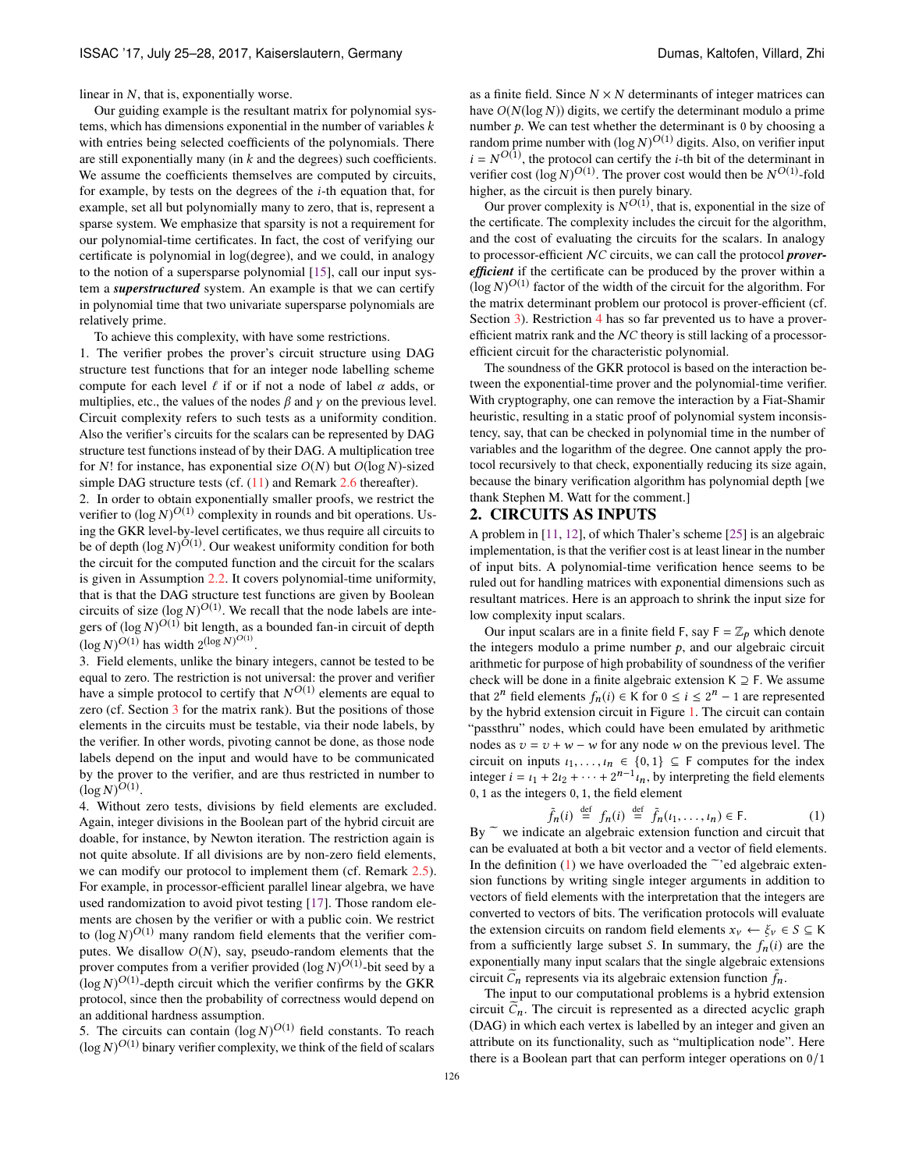linear in *N*, that is, exponentially worse.

Our guiding example is the resultant matrix for polynomial systems, which has dimensions exponential in the number of variables *k* with entries being selected coefficients of the polynomials. There are still exponentially many (in *k* and the degrees) such coefficients. We assume the coefficients themselves are computed by circuits, for example, by tests on the degrees of the *i*-th equation that, for example, set all but polynomially many to zero, that is, represent a sparse system. We emphasize that sparsity is not a requirement for our polynomial-time certificates. In fact, the cost of verifying our certificate is polynomial in log(degree), and we could, in analogy to the notion of a supersparse polynomial [\[15\]](#page-7-9), call our input system a *superstructured* system. An example is that we can certify in polynomial time that two univariate supersparse polynomials are relatively prime.

To achieve this complexity, with have some restrictions.

1. The verifier probes the prover's circuit structure using DAG structure test functions that for an integer node labelling scheme compute for each level  $\ell$  if or if not a node of label  $\alpha$  adds, or multiplies, etc., the values of the nodes  $\beta$  and  $\gamma$  on the previous level. Circuit complexity refers to such tests as a uniformity condition. Also the verifier's circuits for the scalars can be represented by DAG structure test functions instead of by their DAG. A multiplication tree for *N*! for instance, has exponential size *O*(*N*) but *O*(log *N*)-sized simple DAG structure tests (cf.  $(11)$  and Remark [2.6](#page-4-1) thereafter).

2. In order to obtain exponentially smaller proofs, we restrict the verifier to  $(\log N)^{O(1)}$  complexity in rounds and bit operations. Using the GKR level-by-level certificates, we thus require all circuits to be of depth  $(\log N)^{\tilde{O}(1)}$ . Our weakest uniformity condition for both the circuit for the computed function and the circuit for the scalars is given in Assumption [2.2.](#page-5-0) It covers polynomial-time uniformity, that is that the DAG structure test functions are given by Boolean circuits of size  $(\log N)^{O(1)}$ . We recall that the node labels are integers of  $(\log N)^{O(1)}$  bit length, as a bounded fan-in circuit of depth  $(\log N)^{O(1)}$  has width  $2^{(\log N)^{O(1)}}$ .

3. Field elements, unlike the binary integers, cannot be tested to be equal to zero. The restriction is not universal: the prover and verifier have a simple protocol to certify that  $N^{O(1)}$  elements are equal to zero (cf. Section [3](#page-6-0) for the matrix rank). But the positions of those elements in the circuits must be testable, via their node labels, by the verifier. In other words, pivoting cannot be done, as those node labels depend on the input and would have to be communicated by the prover to the verifier, and are thus restricted in number to  $(\log N)^{O(1)}$ .

<span id="page-1-1"></span>4. Without zero tests, divisions by field elements are excluded. Again, integer divisions in the Boolean part of the hybrid circuit are doable, for instance, by Newton iteration. The restriction again is not quite absolute. If all divisions are by non-zero field elements, we can modify our protocol to implement them (cf. Remark [2.5\)](#page-4-2). For example, in processor-efficient parallel linear algebra, we have used randomization to avoid pivot testing [\[17\]](#page-7-5). Those random elements are chosen by the verifier or with a public coin. We restrict to  $(\log N)^{O(1)}$  many random field elements that the verifier computes. We disallow  $O(N)$ , say, pseudo-random elements that the prover computes from a verifier provided  $(\log N)^{O(1)}$ -bit seed by a  $(\log N)^{O(1)}$ -depth circuit which the verifier confirms by the GKR protocol, since then the probability of correctness would depend on an additional hardness assumption.

5. The circuits can contain  $(\log N)^{O(1)}$  field constants. To reach  $(\log N)^{O(1)}$  binary verifier complexity, we think of the field of scalars as a finite field. Since  $N \times N$  determinants of integer matrices can have *O*(*N*(log *N*)) digits, we certify the determinant modulo a prime number  $p$ . We can test whether the determinant is 0 by choosing a random prime number with  $(\log N)^{O(1)}$  digits. Also, on verifier input  $i = N^{O(1)}$ , the protocol can certify the *i*-th bit of the determinant in verifier cost  $(\log N)^{O(1)}$ . The prover cost would then be  $N^{O(1)}$ -fold higher, as the circuit is then purely binary.

Our prover complexity is  $N^{O(1)}$ , that is, exponential in the size of the certificate. The complexity includes the circuit for the algorithm, and the cost of evaluating the circuits for the scalars. In analogy to processor-efficient N*C* circuits, we can call the protocol *proverefficient* if the certificate can be produced by the prover within a  $(\log N)^{O(1)}$  factor of the width of the circuit for the algorithm. For the matrix determinant problem our protocol is prover-efficient (cf. Section [3\)](#page-6-0). Restriction [4](#page-1-1) has so far prevented us to have a proverefficient matrix rank and the N*C* theory is still lacking of a processorefficient circuit for the characteristic polynomial.

The soundness of the GKR protocol is based on the interaction between the exponential-time prover and the polynomial-time verifier. With cryptography, one can remove the interaction by a Fiat-Shamir heuristic, resulting in a static proof of polynomial system inconsistency, say, that can be checked in polynomial time in the number of variables and the logarithm of the degree. One cannot apply the protocol recursively to that check, exponentially reducing its size again, because the binary verification algorithm has polynomial depth [we thank Stephen M. Watt for the comment.]

## <span id="page-1-0"></span>2. CIRCUITS AS INPUTS

A problem in [\[11,](#page-7-1) [12\]](#page-7-2), of which Thaler's scheme [\[25\]](#page-7-4) is an algebraic implementation, is that the verifier cost is at least linear in the number of input bits. A polynomial-time verification hence seems to be ruled out for handling matrices with exponential dimensions such as resultant matrices. Here is an approach to shrink the input size for low complexity input scalars.

Our input scalars are in a finite field F, say  $F = \mathbb{Z}_p$  which denote the integers modulo a prime number  $p$ , and our algebraic circuit arithmetic for purpose of high probability of soundness of the verifier check will be done in a finite algebraic extension  $K \supseteq F$ . We assume that  $2^n$  field elements  $f_n(i) \in K$  for  $0 \le i \le 2^n - 1$  are represented by the hybrid extension circuit in Figure [1.](#page-2-1) The circuit can contain "passthru" nodes, which could have been emulated by arithmetic nodes as  $v = v + w - w$  for any node *w* on the previous level. The circuit on inputs  $i_1, \ldots, i_n \in \{0, 1\} \subseteq F$  computes for the index integer  $i = i_1 + 2i_2 + \cdots + 2^{n-1}i_n$ , by interpreting the field elements 0, 1 as the integers 0, 1, the field element

<span id="page-1-2"></span>
$$
\tilde{f}_n(i) \stackrel{\text{def}}{=} f_n(i) \stackrel{\text{def}}{=} \tilde{f}_n(i_1, \dots, i_n) \in \mathsf{F}.\tag{1}
$$

By  $\tilde{e}$  we indicate an algebraic extension function and circuit that can be evaluated at both a bit vector and a vector of field elements. In the definition [\(1\)](#page-1-2) we have overloaded the  $\tilde{\phantom{a}}$  ed algebraic extension functions by writing single integer arguments in addition to vectors of field elements with the interpretation that the integers are converted to vectors of bits. The verification protocols will evaluate the extension circuits on random field elements  $x_v \leftarrow \xi_v \in S \subseteq K$ from a sufficiently large subset *S*. In summary, the  $f_n(i)$  are the exponentially many input scalars that the single algebraic extensions circuit  $\tilde{C}_n$  represents via its algebraic extension function  $\tilde{f}_n$ .

The input to our computational problems is a hybrid extension circuit  $C_n$ . The circuit is represented as a directed acyclic graph (DAG) in which each vertex is labelled by an integer and given an attribute on its functionality, such as "multiplication node". Here there is a Boolean part that can perform integer operations on 0/1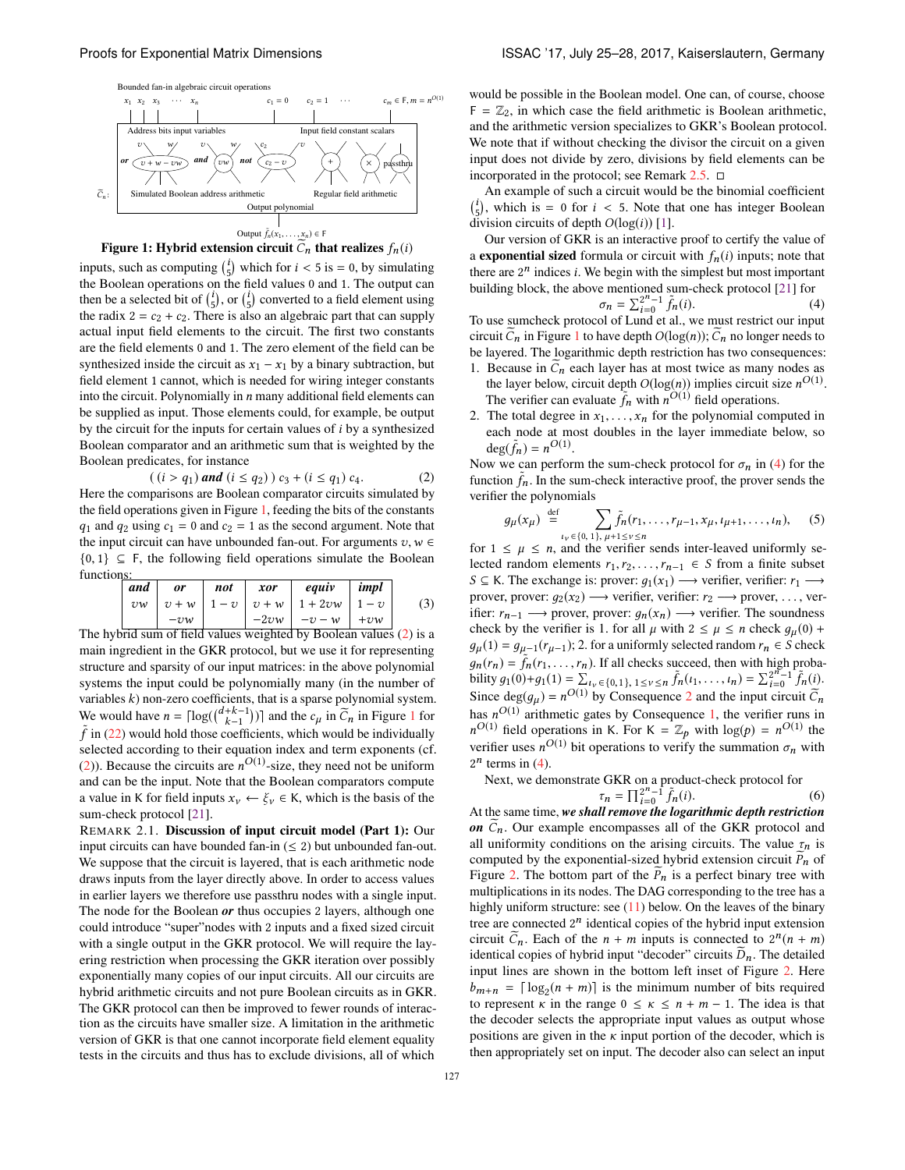<span id="page-2-1"></span>



inputs, such as computing  $\binom{i}{5}$  which for  $i < 5$  is = 0, by simulating the Boolean operations on the field values 0 and 1. The output can then be a selected bit of  $\binom{i}{5}$ , or  $\binom{i}{5}$  converted to a field element using the radix  $2 = c_2 + c_2$ . There is also an algebraic part that can supply actual input field elements to the circuit. The first two constants are the field elements 0 and 1. The zero element of the field can be synthesized inside the circuit as  $x_1 - x_1$  by a binary subtraction, but field element 1 cannot, which is needed for wiring integer constants into the circuit. Polynomially in *n* many additional field elements can be supplied as input. Those elements could, for example, be output by the circuit for the inputs for certain values of *i* by a synthesized Boolean comparator and an arithmetic sum that is weighted by the Boolean predicates, for instance

<span id="page-2-0"></span>
$$
((i > q_1) and (i \leq q_2)) c_3 + (i \leq q_1) c_4.
$$
 (2)

Here the comparisons are Boolean comparator circuits simulated by the field operations given in Figure [1,](#page-2-1) feeding the bits of the constants  $q_1$  and  $q_2$  using  $c_1 = 0$  and  $c_2 = 1$  as the second argument. Note that the input circuit can have unbounded fan-out. For arguments  $v, w \in$  ${0, 1} \subseteq F$ , the following field operations simulate the Boolean functions:

<span id="page-2-5"></span>

|                                                                    | and     | <i>or</i> | not | xor | equiv                                   | $\mid$ impl |     |  |  |
|--------------------------------------------------------------------|---------|-----------|-----|-----|-----------------------------------------|-------------|-----|--|--|
|                                                                    | $v_{w}$ |           |     |     | $ v+w $ 1 – v   v + w   1 + 2vw   1 – v |             | (3) |  |  |
|                                                                    |         | $-vw$     |     |     | $-2vw$ $-v-w$ $+vw$                     |             |     |  |  |
| The hybrid sum of field values weighted by Boolean values (2) is a |         |           |     |     |                                         |             |     |  |  |

main ingredient in the GKR protocol, but we use it for representing structure and sparsity of our input matrices: in the above polynomial systems the input could be polynomially many (in the number of variables *k*) non-zero coefficients, that is a sparse polynomial system. We would have  $n = \lceil \log(\binom{d+k-1}{k-1}) \rceil$  $n = \lceil \log(\binom{d+k-1}{k-1}) \rceil$  $n = \lceil \log(\binom{d+k-1}{k-1}) \rceil$  and the  $c_\mu$  in  $\widetilde{C}_n$  in Figure 1 for  $\tilde{f}$  in [\(22\)](#page-6-1) would hold those coefficients, which would be individually selected according to their equation index and term exponents (cf. [\(2\)](#page-2-0)). Because the circuits are  $n^{O(1)}$ -size, they need not be uniform and can be the input. Note that the Boolean comparators compute a value in K for field inputs  $x_v \leftarrow \xi_v \in K$ , which is the basis of the sum-check protocol [\[21\]](#page-7-10).

REMARK 2.1. Discussion of input circuit model (Part 1): Our input circuits can have bounded fan-in  $(\leq 2)$  but unbounded fan-out. We suppose that the circuit is layered, that is each arithmetic node draws inputs from the layer directly above. In order to access values in earlier layers we therefore use passthru nodes with a single input. The node for the Boolean *or* thus occupies 2 layers, although one could introduce "super"nodes with 2 inputs and a fixed sized circuit with a single output in the GKR protocol. We will require the layering restriction when processing the GKR iteration over possibly exponentially many copies of our input circuits. All our circuits are hybrid arithmetic circuits and not pure Boolean circuits as in GKR. The GKR protocol can then be improved to fewer rounds of interaction as the circuits have smaller size. A limitation in the arithmetic version of GKR is that one cannot incorporate field element equality tests in the circuits and thus has to exclude divisions, all of which

would be possible in the Boolean model. One can, of course, choose  $F = \mathbb{Z}_2$ , in which case the field arithmetic is Boolean arithmetic, and the arithmetic version specializes to GKR's Boolean protocol. We note that if without checking the divisor the circuit on a given input does not divide by zero, divisions by field elements can be incorporated in the protocol; see Remark  $2.5$ .  $\Box$ 

An example of such a circuit would be the binomial coefficient  $i_j$ , which is = 0 for *i* < 5. Note that one has integer Boolean division circuits of depth *O*(log(*i*)) [\[1\]](#page-7-11).

Our version of GKR is an interactive proof to certify the value of a **exponential sized** formula or circuit with  $f_n(i)$  inputs; note that there are  $2^n$  indices *i*. We begin with the simplest but most important building block, the above mentioned sum-check protocol [\[21\]](#page-7-10) for

<span id="page-2-2"></span>
$$
\sigma_n = \sum_{i=0}^{2^n - 1} \tilde{f}_n(i).
$$
 (4)

To use sumcheck protocol of Lund et al., we must restrict our input circuit  $C_n$  in Figure [1](#page-2-1) to have depth  $O(log(n))$ ;  $C_n$  no longer needs to be layered. The logarithmic depth restriction has two consequences:

- <span id="page-2-4"></span>1. Because in  $C_n$  each layer has at most twice as many nodes as the layer below, circuit depth  $O(\log(n))$  implies circuit size  $n^{O(1)}$ . The verifier can evaluate  $\tilde{f}_n$  with  $n^{O(1)}$  field operations.
- <span id="page-2-3"></span>2. The total degree in  $x_1, \ldots, x_n$  for the polynomial computed in each node at most doubles in the layer immediate below, so  $deg(\tilde{f}_n) = n^{O(1)}.$

Now we can perform the sum-check protocol for  $\sigma_n$  in [\(4\)](#page-2-2) for the function  $\tilde{f}_n$ . In the sum-check interactive proof, the prover sends the verifier the polynomials

<span id="page-2-6"></span>
$$
g_{\mu}(x_{\mu}) \stackrel{\text{def}}{=} \sum_{\iota_{\nu} \in \{0, 1\}, \mu+1 \leq \nu \leq n} \tilde{f}_{n}(r_{1}, \ldots, r_{\mu-1}, x_{\mu}, \iota_{\mu+1}, \ldots, \iota_{n}), \quad (5)
$$

for  $1 \leq \mu \leq n$ , and the verifier sends inter-leaved uniformly selected random elements  $r_1, r_2, \ldots, r_{n-1} \in S$  from a finite subset *S*  $\subseteq$  K. The exchange is: prover:  $g_1(x_1) \rightarrow$  verifier, verifier:  $r_1 \rightarrow$ prover, prover:  $q_2(x_2) \longrightarrow$  verifier, verifier:  $r_2 \longrightarrow$  prover, ..., verifier:  $r_{n-1} \longrightarrow$  prover, prover:  $g_n(x_n) \longrightarrow$  verifier. The soundness check by the verifier is 1. for all  $\mu$  with  $2 \le \mu \le n$  check  $g_{\mu}(0)$  +  $g_{\mu}(1) = g_{\mu-1}(r_{\mu-1})$ ; 2. for a uniformly selected random  $r_n \in S$  check  $g_n(r_n) = \tilde{f}_n(r_1,\ldots,r_n)$ . If all checks succeed, then with high probability  $g_1(0)+g_1(1) = \sum_{k=0}^{\infty} I_k \in \{0,1\}, 1 \leq k \leq n$   $\tilde{f}_n(t_1,\ldots,t_n) = \sum_{i=0}^{2^n-1} \tilde{f}_n(i)$ . Since  $deg(g_\mu) = n^{O(1)}$  by Consequence [2](#page-2-3) and the input circuit  $\tilde{C}_n$ has  $n^{O(1)}$  arithmetic gates by Consequence [1,](#page-2-4) the verifier runs in  $n^{O(1)}$  field operations in K. For K =  $\mathbb{Z}_p$  with  $\log(p) = n^{O(1)}$  the verifier uses  $n^{O(1)}$  bit operations to verify the summation  $\sigma_n$  with  $2^n$  terms in [\(4\)](#page-2-2).

Next, we demonstrate GKR on a product-check protocol for

<span id="page-2-7"></span>
$$
\tau_n = \prod_{i=0}^{2^n - 1} \tilde{f}_n(i). \tag{6}
$$

At the same time, *we shall remove the logarithmic depth restriction*  $\boldsymbol{on}$   $C_n$ . Our example encompasses all of the GKR protocol and all uniformity conditions on the arising circuits. The value  $\tau_n$  is computed by the exponential-sized hybrid extension circuit  $P_n$  of Figure [2.](#page-3-1) The bottom part of the  $P_n$  is a perfect binary tree with multiplications in its nodes. The DAG corresponding to the tree has a highly uniform structure: see  $(11)$  below. On the leaves of the binary tree are connected  $2^n$  identical copies of the hybrid input extension circuit  $\tilde{C}_n$ . Each of the  $n + m$  inputs is connected to  $2^n(n + m)$ identical copies of hybrid input "decoder" circuits  $D_n$ . The detailed input lines are shown in the bottom left inset of Figure [2.](#page-3-1) Here  $b_{m+n} = \lfloor \log_2(n+m) \rfloor$  is the minimum number of bits required to represent  $\kappa$  in the range  $0 \leq \kappa \leq n + m - 1$ . The idea is that the decoder selects the appropriate input values as output whose positions are given in the  $\kappa$  input portion of the decoder, which is then appropriately set on input. The decoder also can select an input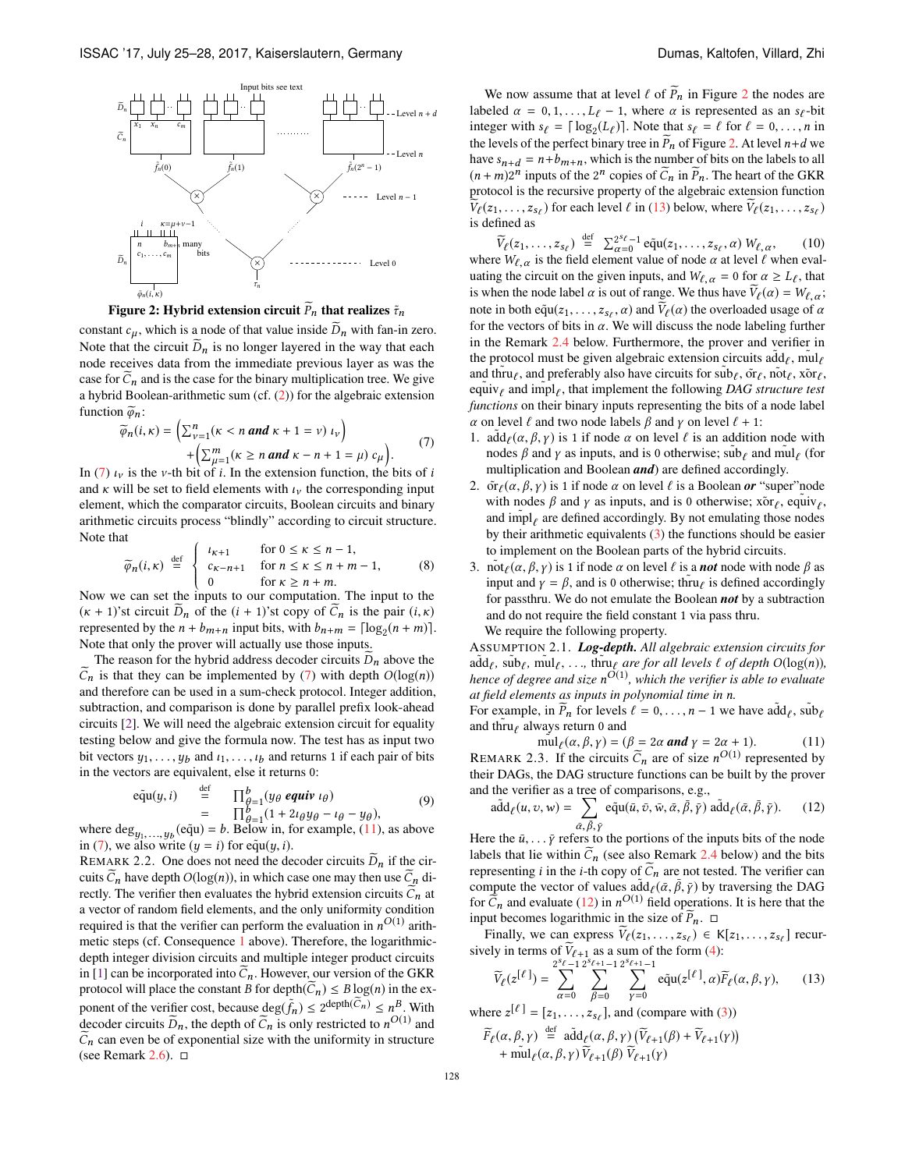<span id="page-3-1"></span>

Figure 2: Hybrid extension circuit  $\bar{P}_n$  that realizes  $\tilde{\tau}_n$ 

constant  $c_{\mu}$ , which is a node of that value inside  $D_{n}$  with fan-in zero. Note that the circuit  $\overline{D}_n$  is no longer layered in the way that each node receives data from the immediate previous layer as was the case for  $C_n$  and is the case for the binary multiplication tree. We give a hybrid Boolean-arithmetic sum (cf. [\(2\)](#page-2-0)) for the algebraic extension function  $\widetilde{\varphi}_n$ :

<span id="page-3-2"></span>
$$
\widetilde{\varphi}_n(i,\kappa) = \left(\sum_{\nu=1}^n (\kappa < n \text{ and } \kappa + 1 = \nu) \, \iota_\nu\right) \\
+ \left(\sum_{\mu=1}^m (\kappa \geq n \text{ and } \kappa - n + 1 = \mu) \, \mathit{c}_{\mu}\right). \tag{7}
$$

In [\(7\)](#page-3-2)  $\iota$  is the v-th bit of *i*. In the extension function, the bits of *i* and  $\kappa$  will be set to field elements with  $\iota_{\nu}$  the corresponding input element, which the comparator circuits, Boolean circuits and binary arithmetic circuits process "blindly" according to circuit structure. Note that

<span id="page-3-6"></span>
$$
\widetilde{\varphi}_n(i,\kappa) \stackrel{\text{def}}{=} \begin{cases}\n\iota_{\kappa+1} & \text{for } 0 \le \kappa \le n-1, \\
\iota_{\kappa-n+1} & \text{for } n \le \kappa \le n+m-1, \\
0 & \text{for } \kappa \ge n+m.\n\end{cases} \tag{8}
$$
\nNow we can set the inputs to our computation. The input to the

 $(\kappa + 1)$ 'st circuit *D<sub>n</sub>* of the  $(i + 1)$ 'st copy of *C<sub>n</sub>* is the pair  $(i, \kappa)$ represented by the  $n + b_{m+n}$  input bits, with  $b_{n+m} = \lfloor \log_2(n+m) \rfloor$ . Note that only the prover will actually use those inputs.

The reason for the hybrid address decoder circuits  $\overline{D}_n$  above the  $C_n$  is that they can be implemented by [\(7\)](#page-3-2) with depth  $O(log(n))$ and therefore can be used in a sum-check protocol. Integer addition, subtraction, and comparison is done by parallel prefix look-ahead circuits [\[2\]](#page-7-12). We will need the algebraic extension circuit for equality testing below and give the formula now. The test has as input two bit vectors  $y_1, \ldots, y_b$  and  $t_1, \ldots, t_b$  and returns 1 if each pair of bits in the vectors are equivalent, else it returns 0:

<span id="page-3-7"></span>
$$
\begin{array}{rcl}\n\text{e}\tilde{\mathbf{q}}\mathbf{u}(y,i) & \stackrel{\text{def}}{=} & \prod_{\theta=1}^{b} (y_{\theta} \text{ equiv } \iota_{\theta}) \\
& = & \prod_{\theta=1}^{b} (1 + 2\iota_{\theta}y_{\theta} - \iota_{\theta} - y_{\theta}),\n\end{array} \tag{9}
$$

where  $\text{deg}_{y_1,...,y_b}(\text{equ}) = b$ . Below in, for example, [\(11\)](#page-3-0), as above in [\(7\)](#page-3-2), we also write  $(y = i)$  for equ $(y, i)$ .

REMARK 2.2. One does not need the decoder circuits  $\overline{D}_n$  if the circuits  $C_n$  have depth  $O(log(n))$ , in which case one may then use  $C_n$  directly. The verifier then evaluates the hybrid extension circuits  $C_n$  at a vector of random field elements, and the only uniformity condition required is that the verifier can perform the evaluation in  $n^{O(1)}$  arithmetic steps (cf. Consequence [1](#page-2-4) above). Therefore, the logarithmicdepth integer division circuits and multiple integer product circuits in [\[1\]](#page-7-11) can be incorporated into  $C_n$ . However, our version of the GKR protocol will place the constant *B* for depth $(C_n) \leq B \log(n)$  in the exponent of the verifier cost, because  $\deg(\tilde{f}_n) \leq 2^{\deg \text{th}(\tilde{C}_n)} \leq n^B$ . With decoder circuits  $\tilde{D}_n$ , the depth of  $\tilde{C}_n$  is only restricted to  $n^{O(1)}$  and  $C_n$  can even be of exponential size with the uniformity in structure (see Remark [2.6\)](#page-4-1).  $\Box$ 

We now assume that at level  $\ell$  of  $P_n$  in Figure [2](#page-3-1) the nodes are labeled  $\alpha = 0, 1, \ldots, L_{\ell} - 1$ , where  $\alpha$  is represented as an  $s_{\ell}$ -bit integer with  $s_\ell = \lceil \log_2(L_\ell) \rceil$ . Note that  $s_\ell = \ell$  for  $\ell = 0, \ldots, n$  in the levels of the perfect binary tree in  $P_n$  of Figure [2.](#page-3-1) At level  $n+d$  we have  $s_{n+d} = n + b_{m+n}$ , which is the number of bits on the labels to all  $(n+m)2^n$  inputs of the  $2^n$  copies of  $\tilde{C}_n$  in  $\tilde{P}_n$ . The heart of the GKR protocol is the recursive property of the algebraic extension function  $V_{\ell}(z_1,\ldots,z_{s_{\ell}})$  for each level  $\ell$  in [\(13\)](#page-3-3) below, where  $V_{\ell}(z_1,\ldots,z_{s_{\ell}})$ is defined as

<span id="page-3-5"></span> $\widetilde{V}_{\ell}(z_1,\ldots,z_{s_{\ell}}) \stackrel{\text{def}}{=} \sum_{\alpha=0}^{2^{s_{\ell}}-1} \widetilde{\text{equ}}(z_1,\ldots,z_{s_{\ell}},\alpha) W_{\ell,\alpha},$  (10) where  $W_{\ell,\alpha}$  is the field element value of node  $\alpha$  at level  $\ell$  when evaluating the circuit on the given inputs, and  $W_{\ell,\alpha} = 0$  for  $\alpha \geq L_{\ell}$ , that is when the node label  $\alpha$  is out of range. We thus have  $V_{\ell}(\alpha) = W_{\ell,\alpha}$ ; note in both  $e\tilde{q}u(z_1,\ldots,z_{s_\ell},\alpha)$  and  $V_\ell(\alpha)$  the overloaded usage of  $\alpha$ for the vectors of bits in  $\alpha$ . We will discuss the node labeling further in the Remark [2.4](#page-4-3) below. Furthermore, the prover and verifier in the protocol must be given algebraic extension circuits  $\text{add}_\ell$ , mul $_\ell$ and thru $_\ell$ , and preferably also have circuits for  $\text{sub}_\ell$ ,  $\tilde{\text{or}}_\ell$ ,  $\tilde{\text{not}}_\ell$ ,  $\tilde{\text{or}}_\ell$ ,  $\tilde{\text{v}}_\ell$  and  $\tilde{\text{imp}}|_\ell$ , that implement the following *DAG structure test functions* on their binary inputs representing the bits of a node label  $\alpha$  on level  $\ell$  and two node labels  $\beta$  and  $\gamma$  on level  $\ell + 1$ :

- 1.  $\tilde{\text{add}}_{\ell}(\alpha, \beta, \gamma)$  is 1 if node  $\alpha$  on level  $\ell$  is an addition node with nodes  $\beta$  and  $\gamma$  as inputs, and is 0 otherwise;  $\tilde{\text{sub}}_\ell$  and  $\tilde{\text{mul}}_\ell$  (for multiplication and Boolean *and*) are defined accordingly.
- 2.  $\tilde{\sigma}_\ell(\alpha, \beta, \gamma)$  is 1 if node  $\alpha$  on level  $\ell$  is a Boolean *or* "super"node with nodes  $\beta$  and  $\gamma$  as inputs, and is 0 otherwise; xor<sub> $\ell$ </sub>, equiv<sub> $\ell$ </sub>, and  $\text{impl}_{\ell}$  are defined accordingly. By not emulating those nodes by their arithmetic equivalents [\(3\)](#page-2-5) the functions should be easier to implement on the Boolean parts of the hybrid circuits.
- 3. not  $\mu(\alpha, \beta, \gamma)$  is 1 if node  $\alpha$  on level  $\ell$  is a *not* node with node  $\beta$  as input and  $\gamma = \beta$ , and is 0 otherwise; thru $\ell$  is defined accordingly for passthru. We do not emulate the Boolean *not* by a subtraction and do not require the field constant 1 via pass thru. We require the following property.

<span id="page-3-8"></span> $\text{Assum}$   $\text{Pion } 2.1$ *. Log-depth. All algebraic extension circuits for*  $\text{and}_{\ell}$ ,  $\text{sin}$ ,  $\text{min}_{\ell}$ , ...,  $\text{tru}_{\ell}$  *are for all levels*  $\ell$  *of depth*  $\text{O}(\log(n))$ *, hence of degree and size nO*(1) *, which the verifier is able to evaluate at field elements as inputs in polynomial time in n.*

For example, in  $\widetilde{P}_n$  for levels  $\ell = 0, \ldots, n-1$  we have  $\alpha \widetilde{d} d_\ell$ ,  $\alpha \widetilde{d} d_\ell$ and thru $_{\ell}$  always return 0 and

<span id="page-3-9"></span><span id="page-3-0"></span> $\text{mul}_{\ell}(\alpha, \beta, \gamma) = (\beta = 2\alpha \text{ and } \gamma = 2\alpha + 1).$  (11) REMARK 2.3. If the circuits  $\tilde{C}_n$  are of size  $n^{O(1)}$  represented by their DAGs, the DAG structure functions can be built by the prover and the verifier as a tree of comparisons, e.g.,<br>  $\tilde{e}^A(t, x, t) = \sum_{n=0}^{\infty} \tilde{e}^{\tilde{n}}(t, \tilde{e}^T, \tilde{e}^T, \tilde{e}^T, \tilde{e}^T)$ 

<span id="page-3-4"></span>
$$
\tilde{\text{add}}_{\ell}(u, v, w) = \sum_{\tilde{\alpha}, \tilde{\beta}, \tilde{\gamma}} \tilde{\text{equ}}(\bar{u}, \bar{v}, \bar{w}, \bar{\alpha}, \bar{\beta}, \bar{\gamma}) \text{ } \tilde{\text{add}}_{\ell}(\bar{\alpha}, \bar{\beta}, \bar{\gamma}). \qquad (12)
$$

Here the  $\bar{u}, \ldots \bar{y}$  refers to the portions of the inputs bits of the node labels that lie within  $C_n$  (see also Remark [2.4](#page-4-3) below) and the bits representing *i* in the *i*-th copy of  $C_n$  are not tested. The verifier can compute the vector of values  $\frac{\partial d}{\partial(\bar{\alpha}, \bar{\beta}, \bar{\gamma})}$  by traversing the DAG for  $\tilde{C}_n$  and evaluate [\(12\)](#page-3-4) in  $n^{O(1)}$  field operations. It is here that the input becomes logarithmic in the size of  $P_n$ .  $\Box$ 

Finally, we can express  $V_{\ell}(z_1, \ldots, z_{s_{\ell}}) \in K[z_1, \ldots, z_{s_{\ell}}]$  recursively in terms of  $V_{\ell+1}$  as a sum of the form [\(4\)](#page-2-2):

<span id="page-3-3"></span>
$$
\widetilde{V}_{\ell}(z^{[\ell]}) = \sum_{\alpha=0}^{2^{s_{\ell}}-1} \sum_{\beta=0}^{2^{s_{\ell+1}}-1} \sum_{\gamma=0}^{2^{s_{\ell+1}}-1} \widetilde{\mathrm{equ}}(z^{[\ell]}, \alpha) \widetilde{F}_{\ell}(\alpha, \beta, \gamma), \qquad (13)
$$

where  $z^{[\ell]} = [z_1, \ldots, z_{s_\ell}],$  and (compare with [\(3\)](#page-2-5))

$$
\widetilde{F}_{\ell}(\alpha, \beta, \gamma) \stackrel{\text{def}}{=} \widetilde{\text{add}}_{\ell}(\alpha, \beta, \gamma) \left( \widetilde{V}_{\ell+1}(\beta) + \widetilde{V}_{\ell+1}(\gamma) \right) \n+ \widetilde{\text{mult}}_{\ell}(\alpha, \beta, \gamma) \widetilde{V}_{\ell+1}(\beta) \widetilde{V}_{\ell+1}(\gamma)
$$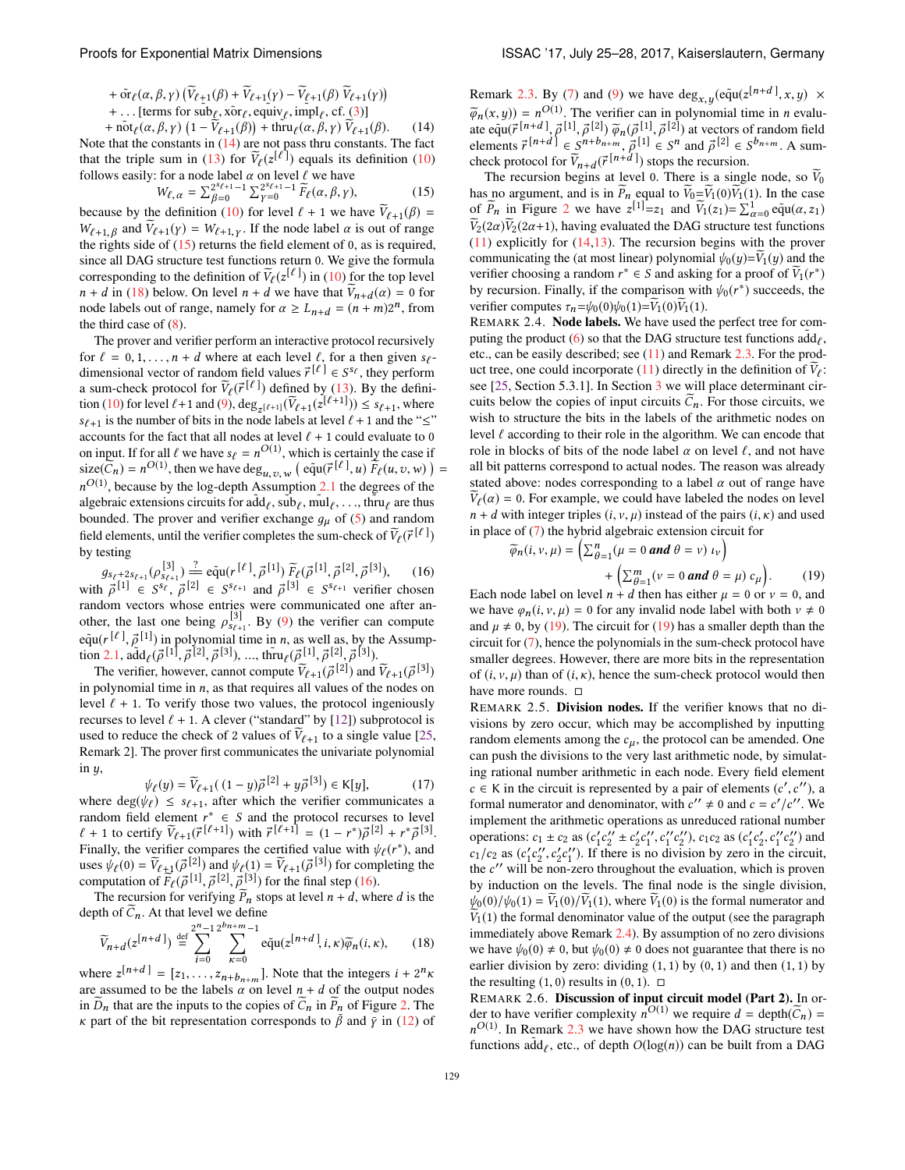+ 
$$
\tilde{\sigma}_\ell(\alpha, \beta, \gamma)
$$
 ( $\tilde{V}_{\ell+1}(\beta)$  +  $\tilde{V}_{\ell+1}(\gamma)$  -  $\tilde{V}_{\ell+1}(\beta)$   $\tilde{V}_{\ell+1}(\gamma)$ )  
+... [terms for sub $\ell$ ,  $\tilde{x}$  or  $\ell$ , equivalently, imply, cf. (3),  $\tilde{V}$ 

+  $\|\text{rot}_{\ell}(\alpha, \beta, \gamma) \left(1 - \tilde{\tilde{V}}_{\ell+1}(\beta)\right) + \|\text{tru}_{\ell}(\alpha, \beta, \gamma) \tilde{V}_{\ell+1}(\beta).$  (14) Note that the constants in  $(14)$  are not pass thru constants. The fact that the triple sum in [\(13\)](#page-3-3) for  $\tilde{V}_{\ell}(z^{[\ell]})$  equals its definition [\(10\)](#page-3-5) follows easily: for a node label  $\alpha$  on level  $\ell$  we have

<span id="page-4-5"></span>
$$
W_{\ell,\alpha} = \sum_{\beta=0}^{2^s \ell+1} \sum_{\gamma=0}^{2^{s} \ell+1} \widetilde{F}_{\ell}(\alpha,\beta,\gamma),\tag{15}
$$

because by the definition [\(10\)](#page-3-5) for level  $\ell + 1$  we have  $V_{\ell+1}(\beta) =$  $W_{\ell+1,\beta}$  and  $V_{\ell+1}(\gamma) = W_{\ell+1,\gamma}$ . If the node label  $\alpha$  is out of range the rights side of  $(15)$  returns the field element of 0, as is required, since all DAG structure test functions return 0. We give the formula corresponding to the definition of  $\tilde{V}_{\ell}(z^{[\ell]})$  in [\(10\)](#page-3-5) for the top level  $n + d$  in [\(18\)](#page-4-0) below. On level  $n + d$  we have that  $V_{n+d}(\alpha) = 0$  for node labels out of range, namely for  $\alpha \ge L_{n+d} = (n+m)2^n$ , from the third case of  $(8)$ .

The prover and verifier perform an interactive protocol recursively for  $\ell = 0, 1, \ldots, n + d$  where at each level  $\ell$ , for a then given  $s_{\ell}$ dimensional vector of random field values  $\vec{r}^{[\ell]} \in S^{s_{\ell}}$ , they perform a sum-check protocol for  $\tilde{V}_{\ell}(\vec{r}^{[\ell]})$  defined by [\(13\)](#page-3-3). By the defini-tion [\(10\)](#page-3-5) for level  $\ell$ +1 and [\(9\)](#page-3-7), deg<sub>*z*[ $\ell$ +1]</sub> ( $\widetilde{V}_{\ell+1}(\bar{z}^{[\ell+1]})) \le s_{\ell+1}$ , where  $s_{\ell+1}$  is the number of bits in the node labels at level  $\ell + 1$  and the " $\leq$ " accounts for the fact that all nodes at level  $\ell + 1$  could evaluate to 0 on input. If for all  $\ell$  we have  $s_{\ell} = n^{O(1)}$ , which is certainly the case if  $size(\widetilde{C}_n) = n^{O(1)}$ , then we have  $deg_{u,v,w}$  ( $equ(\vec{r}[\ell], u) \widetilde{F}_{\ell}(u, v, w)$ ) =  $n^{O(1)}$ , because by the log-depth Assumption [2.1](#page-3-8) the degrees of the algebraic extensions circuits for  $\text{add}_{\ell}$ ,  $\text{sub}_{\ell}$ ,  $\text{mul}_{\ell}$ , ..., thru $_{\ell}$  are thus bounded. The prover and verifier exchange  $g_{\mu}$  of [\(5\)](#page-2-6) and random field elements, until the verifier completes the sum-check of  $\widetilde{V}_{\ell}(\vec{r}^{[\ell]})$ by testing

<span id="page-4-6"></span> $g_{s_{\ell}+2s_{\ell+1}} (\rho_{s_{\ell+1}}^{[3]}) \stackrel{?}{=} \tilde{\text{equ}}(r^{[\ell]}, \vec{\rho}^{[1]}) \tilde{F}_{\ell} (\vec{\rho}^{[1]}, \vec{\rho}^{[2]}, \vec{\rho}^{[3]}),$  (16) with  $\vec{\rho}^{[1]} \in S^{s_{\ell}}, \vec{\rho}^{[2]} \in S^{s_{\ell+1}}$  and  $\vec{\rho}^{[3]} \in S^{s_{\ell+1}}$  verifier chosen random vectors whose entries were communicated one after another, the last one being  $\rho_{s_{\ell+1}}^{[3]}$ . By [\(9\)](#page-3-7) the verifier can compute  $e\tilde{q}u(r^{[\ell]}, \vec{\rho}^{[1]})$  in polynomial time in *n*, as well as, by the Assump-tion [2.1,](#page-3-8)  $\tilde{\text{add}}_{\ell}(\vec{\rho}^{[1]}, \vec{\rho}^{[2]}, \vec{\rho}^{[3]}), \dots, \tilde{\text{third}}_{\ell}(\vec{\rho}^{[1]}, \vec{\rho}^{[2]}, \vec{\rho}^{[3]}).$ 

The verifier, however, cannot compute  $\tilde{V}_{\ell+1}(\vec{\rho}^{[2]})$  and  $\tilde{V}_{\ell+1}(\vec{\rho}^{[3]})$ in polynomial time in *n*, as that requires all values of the nodes on level  $\ell + 1$ . To verify those two values, the protocol ingeniously recurses to level  $\ell + 1$ . A clever ("standard" by [\[12\]](#page-7-2)) subprotocol is used to reduce the check of 2 values of  $V_{\ell+1}$  to a single value [\[25,](#page-7-4) Remark 2]. The prover first communicates the univariate polynomial in  $y$ ,

<span id="page-4-8"></span>
$$
\psi_{\ell}(y) = \widetilde{V}_{\ell+1}((1-y)\vec{\rho}^{[2]} + y\vec{\rho}^{[3]}) \in \mathsf{K}[y],\tag{17}
$$

where deg( $\psi_{\ell}$ )  $\leq$   $s_{\ell+1}$ , after which the verifier communicates a random field element  $r^* \in S$  and the protocol recurses to level  $\ell + 1$  to certify  $\tilde{V}_{\ell+1}(\vec{r}^{[\ell+1]})$  with  $\vec{r}^{[\ell+1]} = (1 - r^*)\vec{\rho}^{[2]} + r^*\vec{\rho}^{[3]}$ . Finally, the verifier compares the certified value with  $\psi_{\ell}(r^*)$ , and uses  $\psi_{\ell}(0) = \widetilde{V}_{\ell+1}(\vec{\rho}^{[2]})$  and  $\psi_{\ell}(1) = \widetilde{V}_{\ell+1}(\vec{\rho}^{[3]})$  for completing the computation of  $\vec{F}_{\ell}(\vec{\rho}^{[1]}, \vec{\rho}^{[2]}, \vec{\rho}^{[3]})$  for the final step [\(16\)](#page-4-6).

The recursion for verifying  $P_n$  stops at level  $n + d$ , where *d* is the depth of  $C_n$ . At that level we define

<span id="page-4-0"></span>
$$
\widetilde{V}_{n+d}(z^{[n+d]}) \stackrel{\text{def}}{=} \sum_{i=0}^{2^n-1} \sum_{\kappa=0}^{2^{h}+m-1} \tilde{\text{equ}}(z^{[n+d]}, i, \kappa) \widetilde{\varphi}_n(i, \kappa), \qquad (18)
$$

where  $z^{[n+d]} = [z_1, \ldots, z_{n+b_{n+m}}]$ . Note that the integers  $i + 2^n \kappa$ are assumed to be the labels  $\alpha$  on level  $n + d$  of the output nodes in  $D_n$  that are the inputs to the copies of  $C_n$  in  $P_n$  of Figure [2.](#page-3-1) The  $\kappa$  part of the bit representation corresponds to  $\bar{\beta}$  and  $\bar{\gamma}$  in [\(12\)](#page-3-4) of <span id="page-4-4"></span>Remark [2.3.](#page-3-9) By [\(7\)](#page-3-2) and [\(9\)](#page-3-7) we have  $\deg_{x,y}(\tilde{\text{equ}}(z^{[n+d]}, x, y) \times$  $\widetilde{\varphi}_n(x, y) = n^{O(1)}$ . The verifier can in polynomial time in *n* evaluate equ $(\vec{r}^{[n+d]}, \vec{\rho}^{[1]}, \vec{\rho}^{[2]}) \tilde{\varphi}_n(\vec{\rho}^{[1]}, \vec{\rho}^{[2]})$  at vectors of random field elements  $\vec{r}^{[n+d]} \in \mathcal{S}^{n+b_{n+m}}, \vec{\rho}^{[1]} \in \mathcal{S}^n$  and  $\vec{\rho}^{[2]} \in \mathcal{S}^{b_{n+m}}$ . A sumcheck protocol for  $\tilde{V}_{n+d}(\vec{r}^{[n+d]})$  stops the recursion.

The recursion begins at <u>level 0</u>. There is a single node, so  $V_0$ has no argument, and is in  $P_n$  equal to  $V_0 = V_1(0)V_1(1)$ . In the case of  $\widetilde{P}_n$  in Figure [2](#page-3-1) we have  $z^{[1]}=z_1$  and  $\widetilde{V}_1(z_1)=\sum_{\alpha=0}^1 e\widetilde{q}u(\alpha,z_1)$  $V_2(2\alpha)V_2(2\alpha+1)$ , having evaluated the DAG structure test functions [\(11\)](#page-3-0) explicitly for [\(14,](#page-4-4)[13\)](#page-3-3). The recursion begins with the prover communicating the (at most linear) polynomial  $\psi_0(y)=V_1(y)$  and the verifier choosing a random  $r^* \in S$  and asking for a proof of  $V_1(r^*)$ by recursion. Finally, if the comparison with  $\psi_0(r^*)$  succeeds, the verifier computes  $\tau_n = \psi_0(0)\psi_0(1) = V_1(0)V_1(1)$ .

<span id="page-4-3"></span>REMARK 2.4. Node labels. We have used the perfect tree for com-puting the product [\(6\)](#page-2-7) so that the DAG structure test functions  $add_\ell$ , etc., can be easily described; see [\(11\)](#page-3-0) and Remark [2.3.](#page-3-9) For the product tree, one could incorporate  $(11)$  directly in the definition of  $V_{\ell}$ : see [\[25,](#page-7-4) Section 5.3.1]. In Section [3](#page-6-0) we will place determinant circuits below the copies of input circuits  $C_n$ . For those circuits, we wish to structure the bits in the labels of the arithmetic nodes on level  $\ell$  according to their role in the algorithm. We can encode that role in blocks of bits of the node label  $\alpha$  on level  $\ell$ , and not have all bit patterns correspond to actual nodes. The reason was already stated above: nodes corresponding to a label  $\alpha$  out of range have  $V_{\ell}(\alpha) = 0$ . For example, we could have labeled the nodes on level  $n + d$  with integer triples  $(i, v, \mu)$  instead of the pairs  $(i, \kappa)$  and used in place of [\(7\)](#page-3-2) the hybrid algebraic extension circuit for

<span id="page-4-7"></span>
$$
\widetilde{\varphi}_n(i, v, \mu) = \left(\sum_{\theta=1}^n (\mu = 0 \text{ and } \theta = v) \, i_v\right) + \left(\sum_{\theta=1}^m (v = 0 \text{ and } \theta = \mu) \, c_\mu\right). \tag{19}
$$

Each node label on level  $n + d$  then has either  $\mu = 0$  or  $\nu = 0$ , and we have  $\varphi_n(i, v, \mu) = 0$  for any invalid node label with both  $v \neq 0$ and  $\mu \neq 0$ , by [\(19\)](#page-4-7). The circuit for (19) has a smaller depth than the circuit for [\(7\)](#page-3-2), hence the polynomials in the sum-check protocol have smaller degrees. However, there are more bits in the representation of  $(i, v, \mu)$  than of  $(i, \kappa)$ , hence the sum-check protocol would then have more rounds.  $\square$ 

<span id="page-4-2"></span>REMARK 2.5. Division nodes. If the verifier knows that no divisions by zero occur, which may be accomplished by inputting random elements among the  $c<sub>\mu</sub>$ , the protocol can be amended. One can push the divisions to the very last arithmetic node, by simulating rational number arithmetic in each node. Every field element  $c \in K$  in the circuit is represented by a pair of elements  $(c', c'')$ , a formal numerator and denominator, with  $c'' \neq 0$  and  $c = c'/c''$ . We implement the arithmetic operations as unreduced rational number operations:  $c_1 \pm c_2$  as  $(c'_1c''_2 \pm c'_2c''_1, c''_1c''_2)$ ,  $c_1c_2$  as  $(c'_1c'_2, c''_1c''_2)$  and  $c_1/c_2$  as  $(c'_1c''_2, c'_2c''_1)$ . If there is no division by zero in the circuit, the  $c^{\prime\prime}$  will be non-zero throughout the evaluation, which is proven by induction on the levels. The final node is the single division,  $\psi_0(0)/\psi_0(1) = \tilde{V}_1(0)/\tilde{V}_1(1)$ , where  $\tilde{V}_1(0)$  is the formal numerator and  $V_1(1)$  the formal denominator value of the output (see the paragraph immediately above Remark [2.4\)](#page-4-3). By assumption of no zero divisions we have  $\psi_0(0) \neq 0$ , but  $\psi_0(0) \neq 0$  does not guarantee that there is no earlier division by zero: dividing  $(1, 1)$  by  $(0, 1)$  and then  $(1, 1)$  by the resulting  $(1, 0)$  results in  $(0, 1)$ .  $\Box$ 

<span id="page-4-1"></span>REMARK 2.6. Discussion of input circuit model (Part 2). In order to have verifier complexity  $n^{O(1)}$  we require  $d = \text{depth}(\widetilde{C}_n) =$  $n^{O(1)}$ . In Remark [2.3](#page-3-9) we have shown how the DAG structure test functions  $\text{add}_{\ell}$ , etc., of depth  $O(\log(n))$  can be built from a DAG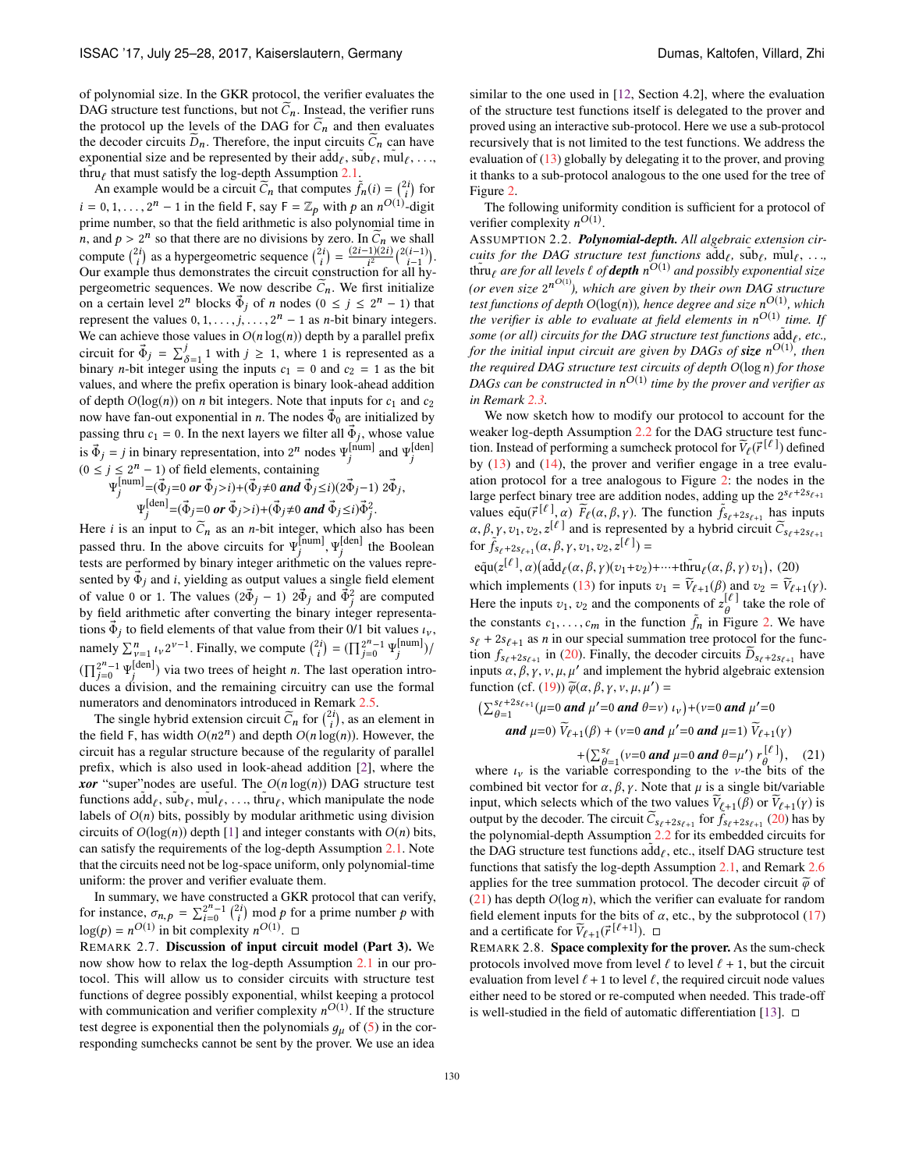of polynomial size. In the GKR protocol, the verifier evaluates the DAG structure test functions, but not  $C_n$ . Instead, the verifier runs the protocol up the levels of the DAG for  $C_n$  and then evaluates the decoder circuits  $D_n$ . Therefore, the input circuits  $C_n$  can have exponential size and be represented by their  $\text{add}_{\ell}$ ,  $\text{sub}_{\ell}$ ,  $\text{mul}_{\ell}$ , ..., thru<sub> $\ell$ </sub> that must satisfy the log-depth Assumption [2.1.](#page-3-8)

An example would be a circuit  $\widetilde{C}_n$  that computes  $\widetilde{f}_n(i) = \binom{2i}{i}$  for  $i = 0, 1, \ldots, 2^n - 1$  in the field F, say  $F = \mathbb{Z}_p$  with p an  $n^{O(1)}$ -digit prime number, so that the field arithmetic is also polynomial time in *n*, and  $p > 2^n$  so that there are no divisions by zero. In  $\tilde{C}_n$  we shall compute  $\binom{2i}{i}$  as a hypergeometric sequence  $\binom{2i}{i} = \frac{(2i-1)(2i)}{i^2} \binom{2(i-1)}{i-1}$ . Our example thus demonstrates the circuit construction for all hypergeometric sequences. We now describe  $C_n$ . We first initialize on a certain level  $2^n$  blocks  $\vec{\Phi}_i$  of *n* nodes  $(0 \leq j \leq 2^n - 1)$  that represent the values  $0, 1, \ldots, j, \ldots, 2^n - 1$  as *n*-bit binary integers. We can achieve those values in  $O(n \log(n))$  depth by a parallel prefix circuit for  $\vec{\Phi}_j = \sum_{\delta=1}^j 1$  with  $j \ge 1$ , where 1 is represented as a binary *n*-bit integer using the inputs  $c_1 = 0$  and  $c_2 = 1$  as the bit values, and where the prefix operation is binary look-ahead addition of depth  $O(log(n))$  on *n* bit integers. Note that inputs for  $c_1$  and  $c_2$ now have fan-out exponential in *n*. The nodes  $\Phi_0$  are initialized by passing thru  $c_1 = 0$ . In the next layers we filter all  $\vec{\Phi}_j$ , whose value is  $\vec{\Phi}_j = j$  in binary representation, into  $2^n$  nodes  $\Psi_j^{\text{[num]}}$  and  $\Psi_j^{\text{[den]}}$  $(0 \le j \le 2^n - 1)$  of field elements, containing

$$
\Psi_j^{\text{[num]}} = (\vec{\Phi}_j = 0 \text{ or } \vec{\Phi}_j > i) + (\vec{\Phi}_j \neq 0 \text{ and } \vec{\Phi}_j \leq i) (2\vec{\Phi}_j - 1) 2\vec{\Phi}_j,
$$
  

$$
\Psi_j^{\text{[den]}} = (\vec{\Phi}_j = 0 \text{ or } \vec{\Phi}_j > i) + (\vec{\Phi}_j \neq 0 \text{ and } \vec{\Phi}_j \leq i) \vec{\Phi}_j^2.
$$

Here *i* is an input to  $C_n$  as an *n*-bit integer, which also has been passed thru. In the above circuits for  $\Psi_j^{\text{[num]}}, \Psi_j^{\text{[den]}}$  the Boolean tests are performed by binary integer arithmetic on the values represented by  $\dot{\Phi}_i$  and *i*, yielding as output values a single field element of value 0 or 1. The values  $(2\vec{\Phi}_j - 1)$   $2\vec{\Phi}_j$  and  $\vec{\Phi}_j^2$  are computed by field arithmetic after converting the binary integer representations  $\dot{\Phi}_j$  to field elements of that value from their 0/1 bit values  $\iota_{\nu}$ , namely  $\sum_{\nu=1}^{n} \ell_{\nu} 2^{\nu-1}$ . Finally, we compute  $\binom{2i}{i} = (\prod_{j=0}^{2^n-1} \Psi_j^{[\text{num}]})/2^{\nu-1}$  $(\prod_{j=0}^{2^n-1} \Psi_j^{[\text{den}]})$  via two trees of height *n*. The last operation introduces a division, and the remaining circuitry can use the formal numerators and denominators introduced in Remark [2.5.](#page-4-2)

The single hybrid extension circuit  $\tilde{C}_n$  for  $\binom{2i}{i}$ , as an element in the field F, has width  $O(n2^n)$  and depth  $O(n \log(n))$ . However, the circuit has a regular structure because of the regularity of parallel prefix, which is also used in look-ahead addition [\[2\]](#page-7-12), where the *xor* "super" nodes are useful. The  $O(n \log(n))$  DAG structure test functions  $\text{add}_\ell$ ,  $\text{sub}_\ell$ ,  $\text{mul}_\ell$ , ..., thru $_\ell$ , which manipulate the node labels of  $O(n)$  bits, possibly by modular arithmetic using division circuits of  $O(log(n))$  depth [\[1\]](#page-7-11) and integer constants with  $O(n)$  bits, can satisfy the requirements of the log-depth Assumption [2.1.](#page-3-8) Note that the circuits need not be log-space uniform, only polynomial-time uniform: the prover and verifier evaluate them.

In summary, we have constructed a GKR protocol that can verify, for instance,  $\sigma_{n,p} = \sum_{i=0}^{2^n-1} {2i \choose i} \mod p$  for a prime number *p* with  $log(p) = n^{O(1)}$  in bit complexity  $n^{O(1)}$ .  $\Box$ 

REMARK 2.7. Discussion of input circuit model (Part 3). We now show how to relax the log-depth Assumption [2.1](#page-3-8) in our protocol. This will allow us to consider circuits with structure test functions of degree possibly exponential, whilst keeping a protocol with communication and verifier complexity  $n^{O(1)}$ . If the structure test degree is exponential then the polynomials  $g_{\mu}$  of [\(5\)](#page-2-6) in the corresponding sumchecks cannot be sent by the prover. We use an idea

similar to the one used in [\[12,](#page-7-2) Section 4.2], where the evaluation of the structure test functions itself is delegated to the prover and proved using an interactive sub-protocol. Here we use a sub-protocol recursively that is not limited to the test functions. We address the evaluation of [\(13\)](#page-3-3) globally by delegating it to the prover, and proving it thanks to a sub-protocol analogous to the one used for the tree of Figure [2.](#page-3-1)

The following uniformity condition is sufficient for a protocol of verifier complexity  $n^{O(1)}$ .

<span id="page-5-0"></span>ASSUMPTION 2.2. *Polynomial-depth. All algebraic extension circuits for the DAG structure test functions*  $\text{add}_\ell$ ,  $\text{sub}_\ell$ ,  $\text{mul}_\ell$ , ..., thru $_\ell$  are for all levels  $\ell$  of **depth**  $n^{O(1)}$  and possibly exponential size *(or even size* 2*nO*(1) *), which are given by their own DAG structure test functions of depth*  $O(\log(n))$ *, hence degree and size*  $n^{O(1)}$ *, which the verifier is able to evaluate at field elements in*  $n^{O(1)}$  *time. If some (or all) circuits for the DAG structure test functions*  $\tilde{ad}d_f$ , *etc.*, *for the initial input circuit are given by DAGs of size nO*(1) *, then the required DAG structure test circuits of depth O*(log*n*) *for those DAGs can be constructed in nO*(1) *time by the prover and verifier as in Remark [2.3.](#page-3-9)*

We now sketch how to modify our protocol to account for the weaker log-depth Assumption [2.2](#page-5-0) for the DAG structure test function. Instead of performing a sumcheck protocol for  $\tilde{V}_{\ell}(\vec{r}^{[\ell]})$  defined by  $(13)$  and  $(14)$ , the prover and verifier engage in a tree evaluation protocol for a tree analogous to Figure [2:](#page-3-1) the nodes in the large perfect binary tree are addition nodes, adding up the  $2^{s_\ell+2s_{\ell+1}}$ values  $\tilde{equ}(\vec{r}^{[\ell]}, \alpha)$   $\tilde{F}_{\ell}(\alpha, \beta, \gamma)$ . The function  $\tilde{f}_{s_{\ell}+2s_{\ell+1}}$  has inputs  $\alpha, \beta, \gamma, \upsilon_1, \upsilon_2, z^{[\ell]}$  and is represented by a hybrid circuit  $\widetilde{C}_{s_{\ell}+2s_{\ell+1}}$  for  $\widetilde{f}_{s_{\ell}+2s_{\ell+1}}(\alpha, \beta, \gamma, \upsilon_1, \upsilon_2, z^{[\ell]} ) =$ 

 $\tilde{\text{equ}}(z^{[\ell]}, \alpha) (\tilde{\text{add}}_{\ell}(\alpha, \beta, \gamma)(v_1+v_2)+\cdots+\tilde{\text{Inru}}_{\ell}(\alpha, \beta, \gamma)v_1), (20)$ which implements [\(13\)](#page-3-3) for inputs  $v_1 = V_{\ell+1}(\beta)$  and  $v_2 = V_{\ell+1}(\gamma)$ . Here the inputs  $v_1, v_2$  and the components of  $z_{\theta}^{[\ell]}$  take the role of the constants  $c_1, \ldots, c_m$  in the function  $\tilde{f}_n$  in Figure [2.](#page-3-1) We have  $s_{\ell}$  + 2*s*<sub> $\ell$ +1</sub> as *n* in our special summation tree protocol for the function  $f_{s_{\ell}+2s_{\ell+1}}$  in [\(20\)](#page-5-1). Finally, the decoder circuits  $D_{s_{\ell}+2s_{\ell+1}}$  have inputs  $\alpha$ ,  $\beta$ ,  $\gamma$ ,  $\nu$ ,  $\mu'$  and implement the hybrid algebraic extension function (cf. [\(19\)](#page-4-7))  $\widetilde{\varphi}(\alpha, \beta, \gamma, \nu, \mu, \mu') =$ <br>( $\sum_{\alpha}^{s_{\ell}+2s_{\ell+1}} (\mu=0 \text{ and } \mu'=0 \text{ and } \theta=v)$ )

$$
\left(\sum_{\theta=1}^{s_{\ell}+2s_{\ell+1}}(\mu=0 \text{ and } \mu'=0 \text{ and } \theta=v\right) \, I_{\nu}\right)+(v=0 \text{ and } \mu'=0
$$
\nand  $\mu=0$ )  $\widetilde{V}_{\ell+1}(\beta) + (v=0 \text{ and } \mu'=0 \text{ and } \mu=1) \, \widetilde{V}_{\ell+1}(\gamma)$ 

<span id="page-5-2"></span><span id="page-5-1"></span>+  $\left(\sum_{\theta=1}^{s_{\ell}}(v=0 \text{ and } \mu=0 \text{ and } \theta=\mu') r_{\theta}^{[\ell]}\right),$  (21)

where  $i_{\nu}$  is the variable corresponding to the  $\nu$ -the bits of the combined bit vector for  $\alpha$ ,  $\beta$ ,  $\gamma$ . Note that  $\mu$  is a single bit/variable input, which selects which of the two values  $V_{\ell+1}(\beta)$  or  $V_{\ell+1}(\gamma)$  is output by the decoder. The circuit  $\tilde{C}_{s_{\ell}+2s_{\ell+1}}$  for  $\tilde{f}_{s_{\ell}+2s_{\ell+1}}$  [\(20\)](#page-5-1) has by the polynomial-depth Assumption [2.2](#page-5-0) for its embedded circuits for the DAG structure test functions  $\tilde{\text{add}}_{\ell}$ , etc., itself DAG structure test functions that satisfy the log-depth Assumption [2.1,](#page-3-8) and Remark [2.6](#page-4-1) applies for the tree summation protocol. The decoder circuit  $\tilde{\varphi}$  of [\(21\)](#page-5-2) has depth *O*(log*n*), which the verifier can evaluate for random field element inputs for the bits of  $\alpha$ , etc., by the subprotocol [\(17\)](#page-4-8) and a certificate for  $\tilde{V}_{\ell+1}(\vec{r}^{\ell+1}]$ ).  $\Box$ 

REMARK 2.8. Space complexity for the prover. As the sum-check protocols involved move from level  $\ell$  to level  $\ell + 1$ , but the circuit evaluation from level  $\ell + 1$  to level  $\ell$ , the required circuit node values either need to be stored or re-computed when needed. This trade-off is well-studied in the field of automatic differentiation [\[13\]](#page-7-13).  $\Box$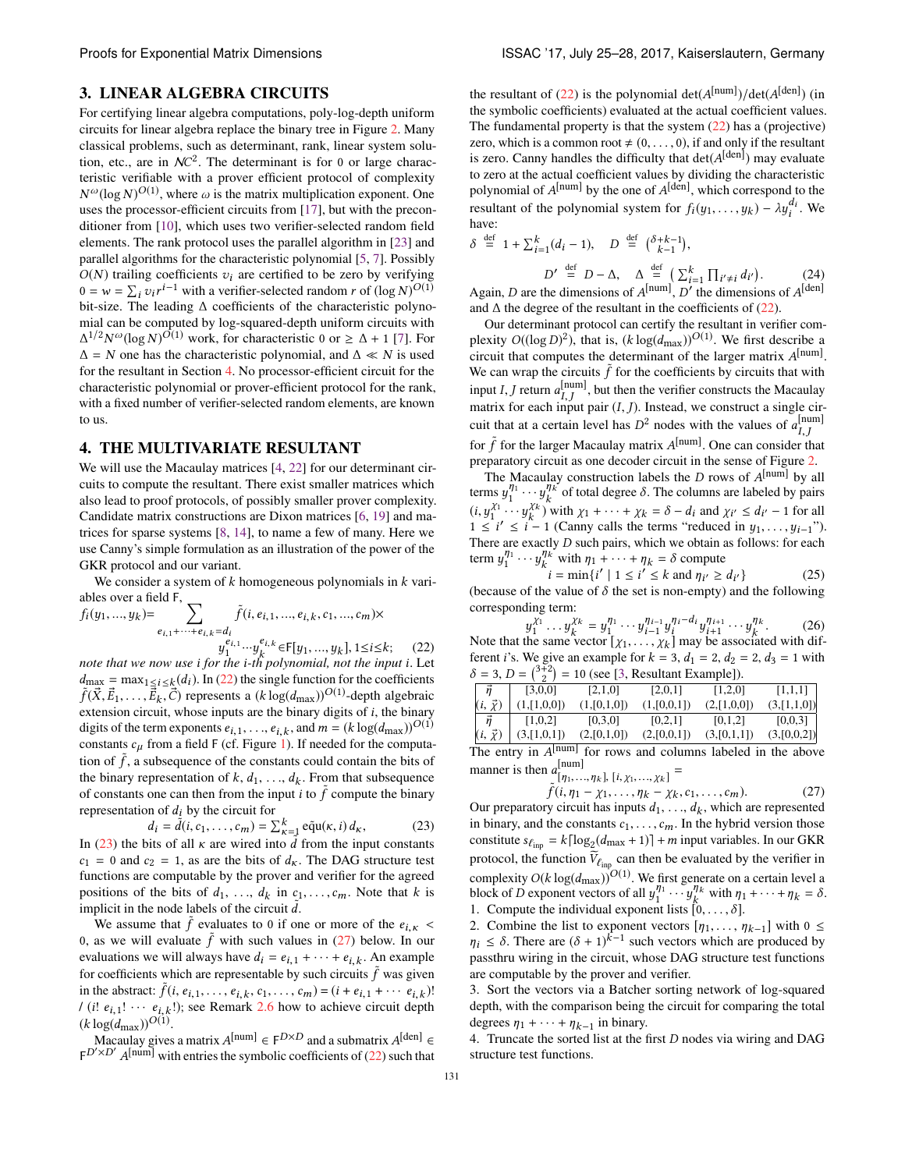#### <span id="page-6-0"></span>3. LINEAR ALGEBRA CIRCUITS

For certifying linear algebra computations, poly-log-depth uniform circuits for linear algebra replace the binary tree in Figure [2.](#page-3-1) Many classical problems, such as determinant, rank, linear system solution, etc., are in  $NC^2$ . The determinant is for 0 or large characteristic verifiable with a prover efficient protocol of complexity  $N^{\omega}(\log N)^{O(1)}$ , where  $\omega$  is the matrix multiplication exponent. One uses the processor-efficient circuits from [\[17\]](#page-7-5), but with the preconditioner from [\[10\]](#page-7-7), which uses two verifier-selected random field elements. The rank protocol uses the parallel algorithm in [\[23\]](#page-7-14) and parallel algorithms for the characteristic polynomial [\[5,](#page-7-15) [7\]](#page-7-16). Possibly  $O(N)$  trailing coefficients  $v_i$  are certified to be zero by verifying  $0 = w = \sum_i v_i r^{i-1}$  with a verifier-selected random *r* of  $(\log N)^{O(1)}$ bit-size. The leading  $\Delta$  coefficients of the characteristic polynomial can be computed by log-squared-depth uniform circuits with  $\Delta^{1/2} N^{\omega} (\log N)^{\tilde{O}(1)}$  work, for characteristic 0 or  $\geq \Delta + 1$  [\[7\]](#page-7-16). For  $\Delta = N$  one has the characteristic polynomial, and  $\Delta \ll N$  is used for the resultant in Section [4.](#page-6-2) No processor-efficient circuit for the characteristic polynomial or prover-efficient protocol for the rank, with a fixed number of verifier-selected random elements, are known to us.

#### <span id="page-6-2"></span>4. THE MULTIVARIATE RESULTANT

We will use the Macaulay matrices [\[4,](#page-7-17) [22\]](#page-7-18) for our determinant circuits to compute the resultant. There exist smaller matrices which also lead to proof protocols, of possibly smaller prover complexity. Candidate matrix constructions are Dixon matrices [\[6,](#page-7-19) [19\]](#page-7-20) and matrices for sparse systems [\[8,](#page-7-21) [14\]](#page-7-22), to name a few of many. Here we use Canny's simple formulation as an illustration of the power of the GKR protocol and our variant.

We consider a system of *k* homogeneous polynomials in *k* variables over a field F,  $\sum f(x, y)$ 

$$
f_i(y_1, ..., y_k) = \sum_{e_{i,1} + ... + e_{i,k} = d_i} \tilde{f}(i, e_{i,1}, ..., e_{i,k}, c_1, ..., c_m) \times
$$
  

$$
v_{i,1}^{e_{i,1}} \cdots v_{i,k}^{e_{i,k}} \in F[y_1, ..., y_k], 1 \le i \le k;
$$
 (15.15)

<span id="page-6-1"></span> $y_1^{i_1,1} \cdots y_k^{i_k, k} \in F[y_1, ..., y_k], 1 \le i \le k;$  (22)<br>*note that we now use i for the i*-th polynomial, not the input *i*. Let  $d_{\text{max}} = \max_{1 \leq i \leq k} (d_i)$ . In [\(22\)](#page-6-1) the single function for the coefficients  $\tilde{f}(\vec{X}, \vec{E}_1, \dots, \vec{E}_k, \vec{C})$  represents a  $(k \log(d_{\text{max}}))^{O(1)}$ -depth algebraic extension circuit, whose inputs are the binary digits of *i*, the binary digits of the term exponents  $e_{i,1}, \ldots, e_{i,k}$ , and  $m = (k \log(d_{\max}))^{O(1)}$ constants  $c<sub>\mu</sub>$  from a field F (cf. Figure [1\)](#page-2-1). If needed for the computation of  $\tilde{f}$ , a subsequence of the constants could contain the bits of the binary representation of  $k$ ,  $d_1$ , ...,  $d_k$ . From that subsequence of constants one can then from the input *i* to  $\tilde{f}$  compute the binary representation of  $d_i$  by the circuit for

<span id="page-6-3"></span>
$$
d_i = \tilde{d}(i, c_1, \dots, c_m) = \sum_{\kappa=1}^k \tilde{qu}(\kappa, i) d_\kappa,
$$
 (23)

In [\(23\)](#page-6-3) the bits of all  $\kappa$  are wired into  $\tilde{d}$  from the input constants  $c_1 = 0$  and  $c_2 = 1$ , as are the bits of  $d_K$ . The DAG structure test functions are computable by the prover and verifier for the agreed positions of the bits of  $d_1$ , ...,  $d_k$  in  $c_1$ , ...,  $c_m$ . Note that *k* is implicit in the node labels of the circuit  $\tilde{d}$ .

We assume that  $\tilde{f}$  evaluates to 0 if one or more of the  $e_{i,k}$  < 0, as we will evaluate  $\tilde{f}$  with such values in [\(27\)](#page-6-4) below. In our evaluations we will always have  $d_i = e_{i,1} + \cdots + e_{i,k}$ . An example for coefficients which are representable by such circuits  $\tilde{f}$  was given in the abstract:  $\tilde{f}(i, e_{i,1}, \ldots, e_{i,k}, c_1, \ldots, c_m) = (i + e_{i,1} + \cdots + e_{i,k})!$  $/(i! e_{i,1}! \cdots e_{i,k}!)$ ; see Remark [2.6](#page-4-1) how to achieve circuit depth  $(k \log(d_{\max}))^{O(1)}$ .

Macaulay gives a matrix  $A^{[num]} \in F^{D \times D}$  and a submatrix  $A^{[den]} \in$  $F^{D' \times D'}$  A<sup>[num]</sup> with entries the symbolic coefficients of [\(22\)](#page-6-1) such that

the resultant of [\(22\)](#page-6-1) is the polynomial  $det(A^{[num]})/det(A^{[den]})$  (in the symbolic coefficients) evaluated at the actual coefficient values. The fundamental property is that the system [\(22\)](#page-6-1) has a (projective) zero, which is a common root  $\neq (0, \ldots, 0)$ , if and only if the resultant is zero. Canny handles the difficulty that  $det(A^{[den]})$  may evaluate to zero at the actual coefficient values by dividing the characteristic polynomial of *A*[num] by the one of *A*[den] , which correspond to the resultant of the polynomial system for  $f_i(y_1,..., y_k) - \lambda y_i^{d_i}$ . We have:

$$
\delta \stackrel{\text{def}}{=} 1 + \sum_{i=1}^{k} (d_i - 1), \quad D \stackrel{\text{def}}{=} {\delta + k - 1 \choose k - 1},
$$

$$
D' \stackrel{\text{def}}{=} D - \Delta, \quad \Delta \stackrel{\text{def}}{=} {\sum_{i=1}^{k} \prod_{i' \neq i} d_{i'}}.
$$
(24)

<span id="page-6-7"></span>Again, *D* are the dimensions of  $A^{[num]}$ , *D'* the dimensions of  $A^{[den]}$ and  $\Delta$  the degree of the resultant in the coefficients of [\(22\)](#page-6-1).

Our determinant protocol can certify the resultant in verifier complexity  $O((\log D)^2)$ , that is,  $(k \log(d_{\max}))^{O(1)}$ . We first describe a circuit that computes the determinant of the larger matrix *A*[num] . We can wrap the circuits  $\tilde{f}$  for the coefficients by circuits that with input *I*, *J* return  $a_{I,J}^{\text{[num]}}$ , but then the verifier constructs the Macaulay matrix for each input pair  $(I, J)$ . Instead, we construct a single circuit that at a certain level has  $D^2$  nodes with the values of  $a_{I,J}^{[num]}$ for  $\tilde{f}$  for the larger Macaulay matrix  $A^{[num]}$ . One can consider that preparatory circuit as one decoder circuit in the sense of Figure [2.](#page-3-1)

The Macaulay construction labels the *D* rows of *A*[num] by all terms  $y_1^{\eta_1} \cdots y_k^{\eta_k}$  of total degree  $\delta$ . The columns are labeled by pairs  $(i, y_1^{\chi_1} \cdots y_k^{\chi_k})$  with  $\chi_1 + \cdots + \chi_k = \delta - d_i$  and  $\chi_{i'} \leq d_{i'} - 1$  for all  $1 \le i' \le i-1$  (Canny calls the terms "reduced in  $y_1, \ldots, y_{i-1}$ "). There are exactly *D* such pairs, which we obtain as follows: for each term  $y_1^{\eta_1} \cdots y_k^{\eta_k}$  with  $\eta_1 + \cdots + \eta_k = \delta$  compute

<span id="page-6-5"></span> $i = \min\{i' \mid 1 \le i' \le k \text{ and } \eta_{i'} \ge d_{i'}\}$  (25) (because of the value of  $\delta$  the set is non-empty) and the following corresponding term:

<span id="page-6-6"></span> $y_1^{\chi_1} \dots y_k^{\chi_k} = y_1^{\eta_1} \dots y_{i-1}^{\eta_{i-1}} y_i^{\eta_i - d_i} y_{i+1}^{\eta_{i+1}} \dots y_k^{\eta_k}$ . (26) Note that the same vector  $[\chi_1, \ldots, \chi_k]$  may be associated with different *i*'s. We give an example for  $k = 3$ ,  $d_1 = 2$ ,  $d_2 = 2$ ,  $d_3 = 1$  with  $\delta = 3, D = \binom{3+2}{2} = 10$  (see [\[3,](#page-7-23) Resultant Example]).

|                   | $\overline{\phantom{a}}$ |                |                |             |             |
|-------------------|--------------------------|----------------|----------------|-------------|-------------|
| $\vec{n}$         | [3,0,0]                  | [2,1,0]        | [2,0,1]        | [1,2,0]     | [1,1,1]     |
| $(i, \vec{x})$    | (1,[1,0,0])              | (1, [0, 1, 0]) | (1, [0, 0, 1]) | (2,[1,0,0]) | (3,[1,1,0]) |
| $\vec{n}$         | [1,0,2]                  | [0,3,0]        | [0,2,1]        | [0,1,2]     | [0,0,3]     |
| $(i, \vec{\chi})$ | (3,[1,0,1])              | (2,[0,1,0])    | (2,[0,0,1])    | (3,[0,1,1]) | (3,[0,0,2]) |

The entry in *A*[num] for rows and columns labeled in the above manner is then  $a_{[\eta_1,...,\eta_k]}^{[num]}$ ,  $[i, \chi_1,...,\chi_k]$  =

<span id="page-6-4"></span>
$$
\tilde{f}(i, \eta_1 - \chi_1, \dots, \eta_k - \chi_k, c_1, \dots, c_m).
$$
\n(27)

Our preparatory circuit has inputs  $d_1, \ldots, d_k$ , which are represented in binary, and the constants *c*1,...,*cm*. In the hybrid version those constitute  $s_{\ell_{\text{inp}}} = k \lceil \log_2(d_{\text{max}} + 1) \rceil + m$  input variables. In our GKR protocol, the function  $V_{\ell_{\text{inp}}}$  can then be evaluated by the verifier in complexity  $O(k \log(d_{\max}))^{O(1)}$ . We first generate on a certain level a block of *D* exponent vectors of all  $y_1^{\eta_1} \cdots y_k^{\eta_k}$  with  $\eta_1 + \cdots + \eta_k = \delta$ . 1. Compute the individual exponent lists  $[0, \ldots, \delta]$ .

2. Combine the list to exponent vectors  $[\eta_1, \ldots, \eta_{k-1}]$  with  $0 \leq$  $\eta_i \leq \delta$ . There are  $(\delta + 1)^{\tilde{k}-1}$  such vectors which are produced by passthru wiring in the circuit, whose DAG structure test functions are computable by the prover and verifier.

3. Sort the vectors via a Batcher sorting network of log-squared depth, with the comparison being the circuit for comparing the total degrees  $\eta_1 + \cdots + \eta_{k-1}$  in binary.

4. Truncate the sorted list at the first *D* nodes via wiring and DAG structure test functions.